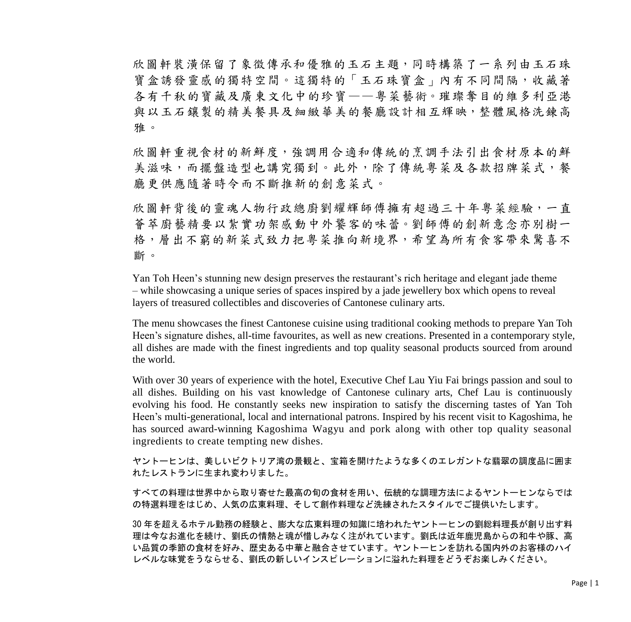欣圖軒裝潢保留了象徵傳承和優雅的玉石主題,同時構築了一系列由玉石珠 寶盒誘發靈感的獨特空間。這獨特的「玉石珠寶盒」內有不同間隔,收藏著 各有千秋的寶藏及廣東文化中的珍寶——粵菜藝術。璀璨奪目的維多利亞港 與以玉石鑲製的精美餐具及細緻華美的餐廳設計相互輝映,整體風格洗鍊高 雅。

欣圖軒重視食材的新鮮度,強調用合適和傳統的烹調手法引出食材原本的鮮 美滋味,而擺盤造型也講究獨到。此外,除了傳統粵菜及各款招牌菜式,餐 廳更供應隨著時令而不斷推新的創意菜式。

欣圖軒背後的靈魂人物行政總廚劉耀輝師傅擁有超過三十年粵菜經驗,一直 薈萃廚藝精要以紮實功架感動中外饕客的味蕾。劉師傅的創新意念亦別樹一 格,層出不窮的新菜式致力把粵菜推向新境界,希望為所有食客帶來驚喜不 斷。

Yan Toh Heen's stunning new design preserves the restaurant's rich heritage and elegant jade theme – while showcasing a unique series of spaces inspired by a jade jewellery box which opens to reveal layers of treasured collectibles and discoveries of Cantonese culinary arts.

The menu showcases the finest Cantonese cuisine using traditional cooking methods to prepare Yan Toh Heen's signature dishes, all-time favourites, as well as new creations. Presented in a contemporary style, all dishes are made with the finest ingredients and top quality seasonal products sourced from around the world.

With over 30 years of experience with the hotel, Executive Chef Lau Yiu Fai brings passion and soul to all dishes. Building on his vast knowledge of Cantonese culinary arts, Chef Lau is continuously evolving his food. He constantly seeks new inspiration to satisfy the discerning tastes of Yan Toh Heen's multi-generational, local and international patrons. Inspired by his recent visit to Kagoshima, he has sourced award-winning Kagoshima Wagyu and pork along with other top quality seasonal ingredients to create tempting new dishes.

ヤントーヒンは、美しいビクトリア湾の景観と、宝箱を開けたような多くのエレガントな翡翠の調度品に囲ま れたレストランに生まれ変わりました。

すべての料理は世界中から取り寄せた最高の旬の食材を用い、伝統的な調理方法によるヤントーヒンならでは の特選料理をはじめ、人気の広東料理、そして創作料理など洗練されたスタイルでご提供いたします。

30 年を超えるホテル勤務の経験と、膨大な広東料理の知識に培われたヤントーヒンの劉総料理長が創り出す料 理は今なお進化を続け、劉氏の情熱と魂が惜しみなく注がれています。劉氏は近年鹿児島からの和牛や豚、高 い品質の季節の食材を好み、歴史ある中華と融合させています。ヤントーヒンを訪れる国内外のお客様のハイ レベルな味覚をうならせる、劉氏の新しいインスピレーションに溢れた料理をどうぞお楽しみください。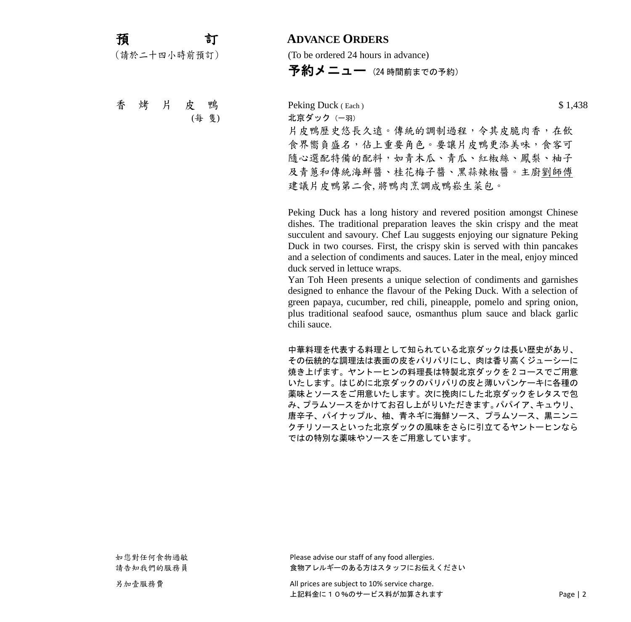| 預            | 訂 |
|--------------|---|
| (請於二十四小時前預訂) |   |

## 預 訂 **ADVANCE ORDERS**

(To be ordered 24 hours in advance)

 $\mathbf{\Phi}$ 約メニュー (24 時間前までの予約)

香 烤 片 皮 鴨 Peking Duck (Each) \$ 1,438 (每 隻) 北京ダック(一羽) 片皮鴨歷史悠長久遠。傳統的調制過程,令其皮脆肉香,在飲 食界嚮負盛名,佔上重要角色。要讓片皮鴨更添美味,食客可 隨心選配特備的配料,如青木瓜、青瓜、紅椒絲、鳳梨、柚子 及青蔥和傳統海鮮醬、桂花梅子醬、黑蒜辣椒醬。主廚劉師傅 建議片皮鴨第二食,將鴨肉烹調成鴨崧生菜包。

> Peking Duck has a long history and revered position amongst Chinese dishes. The traditional preparation leaves the skin crispy and the meat succulent and savoury. Chef Lau suggests enjoying our signature Peking Duck in two courses. First, the crispy skin is served with thin pancakes and a selection of condiments and sauces. Later in the meal, enjoy minced duck served in lettuce wraps.

> Yan Toh Heen presents a unique selection of condiments and garnishes designed to enhance the flavour of the Peking Duck. With a selection of green papaya, cucumber, red chili, pineapple, pomelo and spring onion, plus traditional seafood sauce, osmanthus plum sauce and black garlic chili sauce.

> 中華料理を代表する料理として知られている北京ダックは長い歴史があり、 その伝統的な調理法は表面の皮をパリパリにし、肉は香り高くジューシーに 焼き上げます。ヤントーヒンの料理長は特製北京ダックを 2 コースでご用意 いたします。はじめに北京ダックのパリパリの皮と薄いパンケーキに各種の 薬味とソースをご用意いたします。次に挽肉にした北京ダックをレタスで包 み、プラムソースをかけてお召し上がりいただきます。パパイア、キュウリ、 唐辛子、パイナップル、柚、青ネギに海鮮ソース、プラムソース、黒ニンニ クチリソースといった北京ダックの風味をさらに引立てるヤントーヒンなら ではの特別な薬味やソースをご用意しています。

如您對任何食物過敏 Please advise our staff of any food allergies. 請告知我們的服務員 あい ちゅう うちゅう 食物アレルギーのある方はスタッフにお伝えください

另加壹服務費 **All prices are subject to 10% service charge**. 上記料金に10%のサービス料が加算されます Page | 2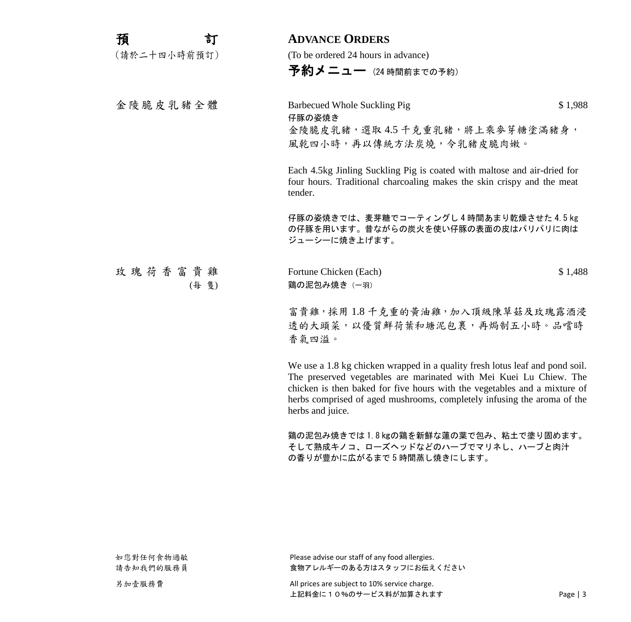| 預            | 訂     | <b>ADVANCE ORDERS</b>                                                                                                                                                                                                                                                                                                          |         |
|--------------|-------|--------------------------------------------------------------------------------------------------------------------------------------------------------------------------------------------------------------------------------------------------------------------------------------------------------------------------------|---------|
| (請於二十四小時前預訂) |       | (To be ordered 24 hours in advance)                                                                                                                                                                                                                                                                                            |         |
|              |       | 予約メニュー (24時間前までの予約)                                                                                                                                                                                                                                                                                                            |         |
| 金陵脆皮乳豬全體     |       | <b>Barbecued Whole Suckling Pig</b><br>仔豚の姿焼き<br>金陵脆皮乳豬,選取4.5千克重乳豬,將上乘麥芽糖塗滿豬身,<br>風乾四小時,再以傳統方法炭燒,令乳豬皮脆肉嫩。                                                                                                                                                                                                                      | \$1,988 |
|              |       | Each 4.5kg Jinling Suckling Pig is coated with maltose and air-dried for<br>four hours. Traditional charcoaling makes the skin crispy and the meat<br>tender.                                                                                                                                                                  |         |
|              |       | 仔豚の姿焼きでは、麦芽糖でコーティングし4時間あまり乾燥させた4.5kg<br>の仔豚を用います。昔ながらの炭火を使い仔豚の表面の皮はパリパリに肉は<br>ジューシーに焼き上げます。                                                                                                                                                                                                                                    |         |
| 玫瑰荷香富貴雞      | (每 隻) | Fortune Chicken (Each)<br>鶏の泥包み焼き (一羽)                                                                                                                                                                                                                                                                                         | \$1,488 |
|              |       | 富貴雞,採用1.8千克重的黃油雞,加入頂級陳草菇及玫瑰露酒浸<br>透的大頭菜,以優質鮮荷葉和塘泥包裹,再焗制五小時。品嚐時<br>香氣四溢。                                                                                                                                                                                                                                                        |         |
|              |       | We use a 1.8 kg chicken wrapped in a quality fresh lotus leaf and pond soil.<br>The preserved vegetables are marinated with Mei Kuei Lu Chiew. The<br>chicken is then baked for five hours with the vegetables and a mixture of<br>herbs comprised of aged mushrooms, completely infusing the aroma of the<br>herbs and juice. |         |
|              |       | 鶏の泥包み焼きでは1.8kgの鶏を新鮮な蓮の葉で包み、粘土で塗り固めます。<br>そして熟成キノコ、ローズヘッドなどのハーブでマリネし、ハーブと肉汁                                                                                                                                                                                                                                                     |         |

の香りが豊かに広がるまで 5 時間蒸し焼きにします。

如您對任何食物過敏 Please advise our staff of any food allergies. 請告知我們的服務員 おんじゃ ちゃん 食物アレルギーのある方はスタッフにお伝えください

上記料金に 10%のサービス料が加算されます **Name Address Page | 3**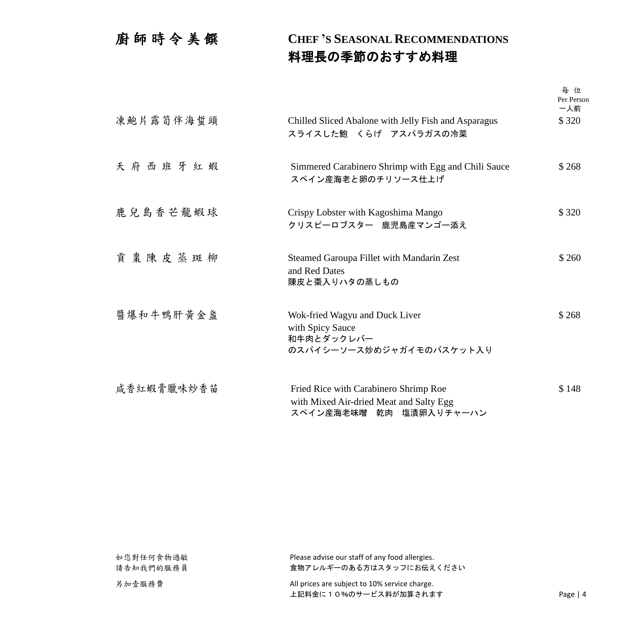## 廚師時令美 饌 **CHEF 'S SEASONAL RECOMMENDATIONS** 料理長の季節のおすすめ料理

|            |                                                                                                             | 每位<br>Per Person<br>一人前 |
|------------|-------------------------------------------------------------------------------------------------------------|-------------------------|
| 凍鮑片露筍伴海蜇頭  | Chilled Sliced Abalone with Jelly Fish and Asparagus<br>スライスした鮑 くらげ アスパラガスの冷菜                               | \$320                   |
| 天府西班牙紅蝦    | Simmered Carabinero Shrimp with Egg and Chili Sauce<br>スペイン産海老と卵のチリソース仕上げ                                   | \$268                   |
| 鹿兒島香芒龍蝦球   | Crispy Lobster with Kagoshima Mango<br>クリスピーロブスター 鹿児島産マンゴー添え                                                | \$320                   |
| 貢棗陳皮蒸斑柳    | Steamed Garoupa Fillet with Mandarin Zest<br>and Red Dates<br>陳皮と棗入りハタの蒸しもの                                 | \$260                   |
| 醬爆和牛鴨肝黃金盞  | Wok-fried Wagyu and Duck Liver<br>with Spicy Sauce<br>和牛肉とダックレバー<br>のスパイシーソース炒めジャガイモのバスケット入り                | \$268                   |
| 咸香紅蝦膏臘味炒香苗 | Fried Rice with Carabinero Shrimp Roe<br>with Mixed Air-dried Meat and Salty Egg<br>スペイン産海老味噌 乾肉 塩漬卵入りチャーハン | \$148                   |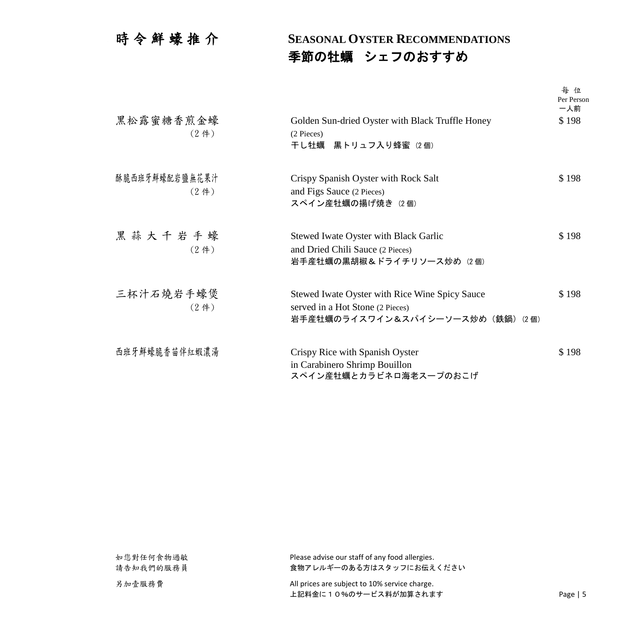## 時 令 鮮 蠔 推 介 **SEASONAL OYSTER RECOMMENDATIONS** 季節の牡蠣 シェフのおすすめ

|                                     |                                                                                                                         | 每位<br>Per Person<br>一人前 |
|-------------------------------------|-------------------------------------------------------------------------------------------------------------------------|-------------------------|
| 黑松露蜜糖香煎金蠔<br>(2 <sup>4</sup> )      | Golden Sun-dried Oyster with Black Truffle Honey<br>(2 Pieces)<br>干し牡蠣 黒トリュフ入り蜂蜜 (2個)                                   | \$198                   |
| 酥脆西班牙鮮蠔配岩鹽無花果汁<br>(2 <sup>4</sup> ) | Crispy Spanish Oyster with Rock Salt<br>and Figs Sauce (2 Pieces)<br>スペイン産牡蠣の揚げ焼き (2個)                                  | \$198                   |
| 黑蒜大千岩手蠔<br>(2 <sup>4</sup> )        | Stewed Iwate Oyster with Black Garlic<br>and Dried Chili Sauce (2 Pieces)<br>岩手産牡蠣の黒胡椒&ドライチリソース炒め (2個)                  | \$198                   |
| 三杯汁石燒岩手蠔煲<br>(2 <sup>4</sup> )      | Stewed Iwate Oyster with Rice Wine Spicy Sauce<br>served in a Hot Stone (2 Pieces)<br>岩手産牡蠣のライスワイン&スパイシーソース炒め (鉄鍋) (2個) | \$198                   |
| 西班牙鮮蠔脆香苗伴紅蝦濃湯                       | Crispy Rice with Spanish Oyster<br>in Carabinero Shrimp Bouillon<br>スペイン産牡蠣とカラビネロ海老スープのおこげ                              | \$198                   |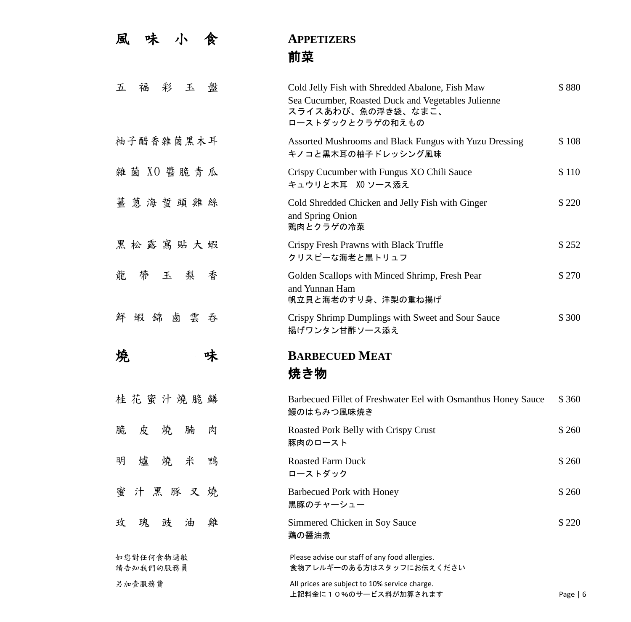| 風<br>味<br>小<br>食       | <b>APPETIZERS</b><br>前菜                                                                                                                         |            |
|------------------------|-------------------------------------------------------------------------------------------------------------------------------------------------|------------|
| 彩<br>玉<br>盤<br>五<br>福  | Cold Jelly Fish with Shredded Abalone, Fish Maw<br>Sea Cucumber, Roasted Duck and Vegetables Julienne<br>スライスあわび、魚の浮き袋、なまこ、<br>ローストダックとクラゲの和えもの | \$880      |
| 柚子醋香雜菌黑木耳              | Assorted Mushrooms and Black Fungus with Yuzu Dressing<br>キノコと黒木耳の柚子ドレッシング風味                                                                    | \$108      |
| 雜菌 XO 醬 脆 青 瓜          | Crispy Cucumber with Fungus XO Chili Sauce<br>キュウリと木耳 XO ソース添え                                                                                  | \$110      |
| 薑<br>蔥海蜇頭雞絲            | Cold Shredded Chicken and Jelly Fish with Ginger<br>and Spring Onion<br>鶏肉とクラゲの冷菜                                                               | \$220      |
| 黑松露窩貼大蝦                | Crispy Fresh Prawns with Black Truffle<br>クリスピーな海老と黒トリュフ                                                                                        | \$252      |
| 龍<br>帶<br>玉<br>梨<br>香  | Golden Scallops with Minced Shrimp, Fresh Pear<br>and Yunnan Ham<br>帆立貝と海老のすり身、洋梨の重ね揚げ                                                          | \$270      |
| 蝦錦鹵雲<br>鮮<br>吞         | Crispy Shrimp Dumplings with Sweet and Sour Sauce<br>揚げワンタン甘酢ソース添え                                                                              | \$300      |
| 墝<br>味                 | <b>BARBECUED MEAT</b><br>焼き物                                                                                                                    |            |
| 桂花蜜汁燒脆鱔                | Barbecued Fillet of Freshwater Eel with Osmanthus Honey Sauce<br>鰻のはちみつ風味焼き                                                                     | \$360      |
| 燒<br>脆<br>腩<br>皮<br>肉  | Roasted Pork Belly with Crispy Crust<br>豚肉のロースト                                                                                                 | \$260      |
| 米<br>燒<br>鴨<br>明<br>爐  | <b>Roasted Farm Duck</b><br>ローストダック                                                                                                             | \$260      |
| 汁黑豚叉燒<br>蜜             | <b>Barbecued Pork with Honey</b><br>黒豚のチャーシュー                                                                                                   | \$260      |
| 雞<br>瑰<br>豉<br>玫<br>油  | Simmered Chicken in Soy Sauce<br>鶏の醤油煮                                                                                                          | \$220      |
| 如您對任何食物過敏<br>請告知我們的服務員 | Please advise our staff of any food allergies.<br>食物アレルギーのある方はスタッフにお伝えください                                                                      |            |
| 另加壹服務費                 | All prices are subject to 10% service charge.<br>上記料金に10%のサービス料が加算されます                                                                          | Page $  6$ |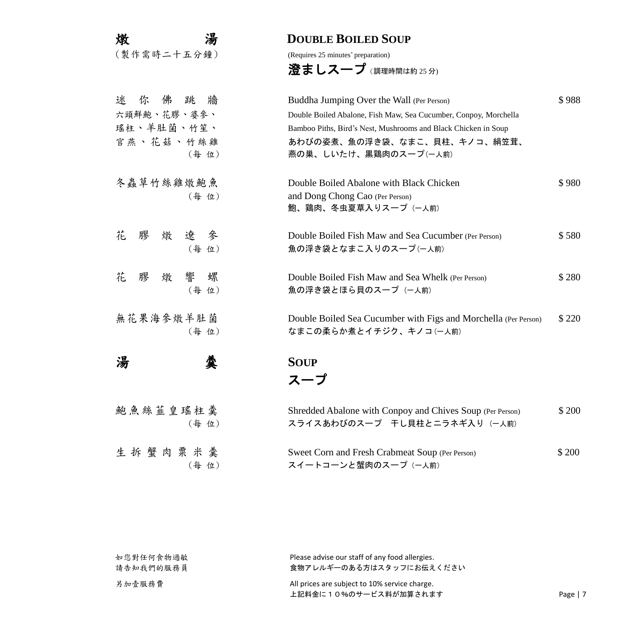| 湯<br>燉             | <b>DOUBLE BOILED SOUP</b>                                        |        |
|--------------------|------------------------------------------------------------------|--------|
| (製作需時二十五分鐘)        | (Requires 25 minutes' preparation)                               |        |
|                    | 澄ましスープ $(. 調理時間は約 25 分)$                                         |        |
| 迷你佛跳牆              | Buddha Jumping Over the Wall (Per Person)                        | \$988  |
| 六頭鮮鮑、花膠、婆參、        | Double Boiled Abalone, Fish Maw, Sea Cucumber, Conpoy, Morchella |        |
| 瑤柱、羊肚菌、竹笙、         | Bamboo Piths, Bird's Nest, Mushrooms and Black Chicken in Soup   |        |
| 官燕、花菇、竹絲雞<br>(每位)  | あわびの姿煮、魚の浮き袋、なまこ、貝柱、キノコ、絹笠茸、<br>燕の巣、しいたけ、黒鶏肉のスープ(一人前)            |        |
| 冬蟲草竹絲雞燉鮑魚          | Double Boiled Abalone with Black Chicken                         | \$980  |
| (每位)               | and Dong Chong Cao (Per Person)<br>鮑、鶏肉、冬虫夏草入りスープ (一人前)          |        |
| 膠 燉<br>花<br>遼<br>參 | Double Boiled Fish Maw and Sea Cucumber (Per Person)             | \$580  |
| (每位)               | 魚の浮き袋となまこ入りのスープ(一人前)                                             |        |
| 花<br>響<br>膠 燉<br>螺 | Double Boiled Fish Maw and Sea Whelk (Per Person)                | \$280  |
| (每位)               | 魚の浮き袋とほら貝のスープ (一人前)                                              |        |
| 無花果海參燉羊肚菌          | Double Boiled Sea Cucumber with Figs and Morchella (Per Person)  | \$220  |
| (每位)               | なまこの柔らか煮とイチジク、キノコ(一人前)                                           |        |
| 汤                  | <b>SOUP</b>                                                      |        |
|                    | スーブ                                                              |        |
| 鮑魚絲韮皇瑤柱羹           | Shredded Abalone with Conpoy and Chives Soup (Per Person)        | \$ 200 |
| (每位)               | スライスあわびのスープ 干し貝柱とニラネギ入り (一人前)                                    |        |
| 生拆蟹肉粟米羹            | Sweet Corn and Fresh Crabmeat Soup (Per Person)                  | \$200  |
| (每位)               | スイートコーンと蟹肉のスープ (一人前)                                             |        |

| 如您對任何食物過敏 | Please advise our staff of any food allergies. |            |
|-----------|------------------------------------------------|------------|
| 請告知我們的服務員 | 食物アレルギーのある方はスタッフにお伝えください                       |            |
| 另加壹服務費    | All prices are subject to 10% service charge.  |            |
|           | 上記料金に10%のサービス料が加算されます                          | Page $ 7 $ |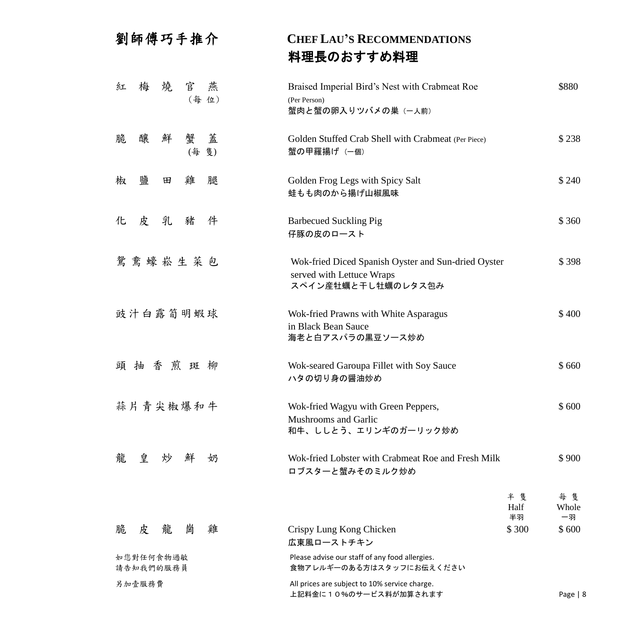| 劉師傅巧手推介                       | <b>CHEF LAU'S RECOMMENDATIONS</b>                                                                      |                   |
|-------------------------------|--------------------------------------------------------------------------------------------------------|-------------------|
|                               | 料理長のおすすめ料理                                                                                             |                   |
| 燒<br>官<br>梅<br>紅<br>燕         | Braised Imperial Bird's Nest with Crabmeat Roe                                                         | \$880             |
| (每位)                          | (Per Person)<br>蟹肉と蟹の卵入りツバメの巣 (一人前)                                                                    |                   |
| 蓋<br>鮮<br>蟹<br>脆<br>釀<br>(每隻) | Golden Stuffed Crab Shell with Crabmeat (Per Piece)<br>蟹の甲羅揚げ (一個)                                     | \$238             |
| 鹽<br>雞<br>椒<br>腿<br>田         | Golden Frog Legs with Spicy Salt<br>蛙もも肉のから揚げ山椒風味                                                      | \$240             |
| 乳<br>豬<br>件<br>化<br>皮         | <b>Barbecued Suckling Pig</b><br>仔豚の皮のロースト                                                             | \$360             |
| 鴛鴦蠔崧生菜包                       | Wok-fried Diced Spanish Oyster and Sun-dried Oyster<br>served with Lettuce Wraps<br>スペイン産牡蠣と干し牡蠣のレタス包み | \$398             |
| 豉汁白露筍明蝦球                      | Wok-fried Prawns with White Asparagus<br>in Black Bean Sauce<br>海老と白アスパラの黒豆ソース炒め                       | \$400             |
| 煎<br>香<br>抽<br>斑<br>柳<br>頭    | Wok-seared Garoupa Fillet with Soy Sauce<br>ハタの切り身の醤油炒め                                                | \$660             |
| 蒜片青尖椒爆和牛                      | Wok-fried Wagyu with Green Peppers,<br><b>Mushrooms and Garlic</b><br>和牛、ししとう、エリンギのガーリック炒め             | \$600             |
| 龍<br>皇<br>鮮<br>炒<br>奶         | Wok-fried Lobster with Crabmeat Roe and Fresh Milk<br>ロブスターと蟹みそのミルク炒め                                  | \$900             |
|                               | 半隻<br>Half<br>半羽                                                                                       | 每隻<br>Whole<br>一羽 |
| 崗<br>龍<br>雞<br>脆<br>皮         | \$300<br>Crispy Lung Kong Chicken<br>広東風ローストチキン                                                        | \$600             |
| 如您對任何食物過敏<br>請告知我們的服務員        | Please advise our staff of any food allergies.<br>食物アレルギーのある方はスタッフにお伝えください                             |                   |
| 另加壹服務費                        | All prices are subject to 10% service charge.<br>上記料金に10%のサービス料が加算されます                                 | Page $ 8$         |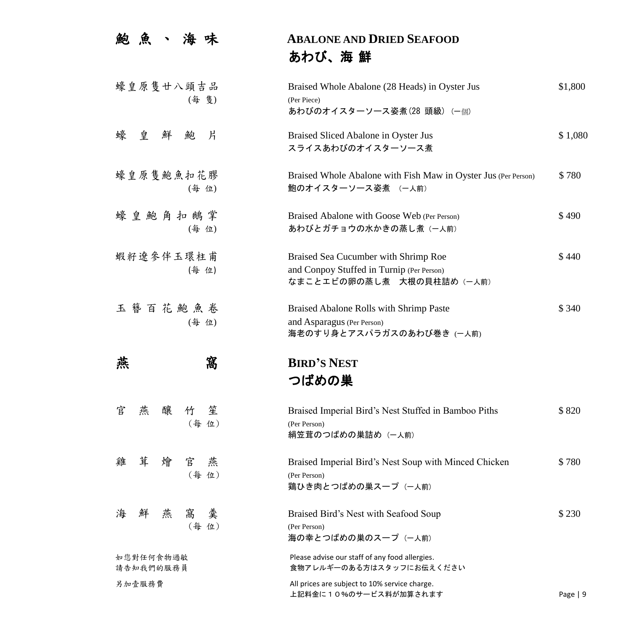| 鮑<br>魚                         | <b>ABALONE AND DRIED SEAFOOD</b><br>あわび、海 鮮                                                                     |           |
|--------------------------------|-----------------------------------------------------------------------------------------------------------------|-----------|
| 蠔皇原隻廿八頭吉品<br>(每 隻)             | Braised Whole Abalone (28 Heads) in Oyster Jus<br>(Per Piece)<br>あわびのオイスターソース姿煮(28 頭級) (一個)                     | \$1,800   |
| 蠔<br>皇鮮<br>片<br>鮑              | Braised Sliced Abalone in Oyster Jus<br>スライスあわびのオイスターソース煮                                                       | \$1,080   |
| 蠔皇原隻鮑魚扣花膠<br>(每 位)             | Braised Whole Abalone with Fish Maw in Oyster Jus (Per Person)<br>鮑のオイスターソース姿煮 (一人前)                            | \$780     |
| 蠔皇鮑角扣鵝掌<br>(每 位)               | Braised Abalone with Goose Web (Per Person)<br>あわびとガチョウの水かきの蒸し煮 (一人前)                                           | \$490     |
| 蝦籽遼參伴玉環柱甫<br>(每 位)             | Braised Sea Cucumber with Shrimp Roe<br>and Conpoy Stuffed in Turnip (Per Person)<br>なまことエビの卵の蒸し煮 大根の貝柱詰め (一人前) | \$440     |
| 玉簪百花鮑魚卷<br>(每 位)               | Braised Abalone Rolls with Shrimp Paste<br>and Asparagus (Per Person)<br>海老のすり身とアスパラガスのあわび巻き (一人前)              | \$340     |
| 窩<br>燕                         | <b>BIRD'S NEST</b><br>つばめの巣                                                                                     |           |
| 醸<br>官<br>燕<br>笙<br>竹<br>(每位)  | Braised Imperial Bird's Nest Stuffed in Bamboo Piths<br>(Per Person)<br>絹笠茸のつばめの巣詰め (一人前)                       | \$820     |
| 茸<br>雞<br>燴<br>官<br>燕<br>(每位)  | Braised Imperial Bird's Nest Soup with Minced Chicken<br>(Per Person)<br>鶏ひき肉とつばめの巣スープ (一人前)                    | \$780     |
| 海<br>鮮<br>燕<br>羹<br>窩<br>(每 位) | Braised Bird's Nest with Seafood Soup<br>(Per Person)<br>海の幸とつばめの巣のスープ (一人前)                                    | \$230     |
| 如您對任何食物過敏<br>請告知我們的服務員         | Please advise our staff of any food allergies.<br>食物アレルギーのある方はスタッフにお伝えください                                      |           |
| 另加壹服務費                         | All prices are subject to 10% service charge.<br>上記料金に10%のサービス料が加算されます                                          | Page $ 9$ |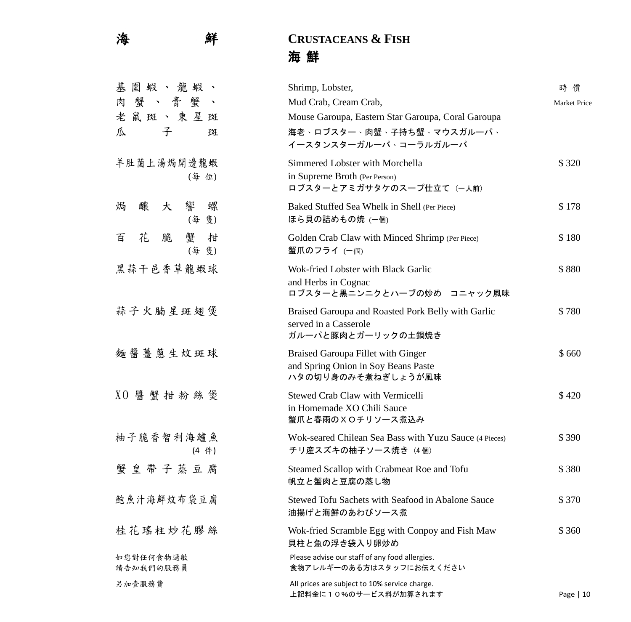## 海 鮮 **CRUSTACEANS & FISH** 海 鮮

| 圍蝦、龍蝦、<br>基            | Shrimp, Lobster,                                                              | 時 價          |
|------------------------|-------------------------------------------------------------------------------|--------------|
| 蟹、膏蟹<br>肉<br>$\sim$    | Mud Crab, Cream Crab,                                                         | Market Price |
| 老鼠斑、東星斑                | Mouse Garoupa, Eastern Star Garoupa, Coral Garoupa                            |              |
| 子<br>瓜<br>斑            | 海老、ロブスター、肉蟹、子持ち蟹、マウスガルーパ、                                                     |              |
|                        | イースタンスターガルーパ、コーラルガルーパ                                                         |              |
| 羊肚菌上湯焗開邊龍蝦             | Simmered Lobster with Morchella                                               | \$320        |
| (每 位)                  | in Supreme Broth (Per Person)                                                 |              |
|                        | ロブスターとアミガサタケのスープ仕立て (一人前)                                                     |              |
| 響<br>螺<br>釀<br>焗<br>大  | Baked Stuffed Sea Whelk in Shell (Per Piece)                                  | \$178        |
| (每<br>隻)               | ほら貝の詰めもの焼 (一個)                                                                |              |
| 花<br>蟹<br>拑<br>脆<br>百  | Golden Crab Claw with Minced Shrimp (Per Piece)                               | \$180        |
| (每隻)                   | 蟹爪のフライ (一個)                                                                   |              |
| 黑蒜干邑香草龍蝦球              | Wok-fried Lobster with Black Garlic                                           | \$880        |
|                        | and Herbs in Cognac                                                           |              |
|                        | ロブスターと黒ニンニクとハーブの炒め コニャック風味                                                    |              |
| 蒜子火腩星斑翅煲               | Braised Garoupa and Roasted Pork Belly with Garlic                            | \$780        |
|                        | served in a Casserole                                                         |              |
|                        | ガルーパと豚肉とガーリックの土鍋焼き                                                            |              |
| 麵醬薑蔥生炆斑球               | <b>Braised Garoupa Fillet with Ginger</b>                                     | \$660        |
|                        | and Spring Onion in Soy Beans Paste<br>ハタの切り身のみそ煮ねぎしょうが風味                     |              |
|                        |                                                                               |              |
| XO 醬 蟹 拑 粉 絲 煲         | Stewed Crab Claw with Vermicelli                                              | \$420        |
|                        | in Homemade XO Chili Sauce<br>蟹爪と春雨の×Oチリソース煮込み                                |              |
| 柚子脆香智利海鱸魚              |                                                                               |              |
| (4 件)                  | Wok-seared Chilean Sea Bass with Yuzu Sauce (4 Pieces)<br>チリ産スズキの柚子ソース焼き (4個) | \$390        |
|                        |                                                                               |              |
| 蟹皇带子蒸豆腐                | Steamed Scallop with Crabmeat Roe and Tofu<br>帆立と蟹肉と豆腐の蒸し物                    | \$380        |
|                        |                                                                               |              |
| 鮑魚汁海鮮炆布袋豆腐             | Stewed Tofu Sachets with Seafood in Abalone Sauce                             | \$370        |
|                        | 油揚げと海鮮のあわびソース煮                                                                |              |
| 桂花瑤柱炒花膠絲               | Wok-fried Scramble Egg with Conpoy and Fish Maw                               | \$360        |
|                        | 貝柱と魚の浮き袋入り卵炒め                                                                 |              |
| 如您對任何食物過敏<br>請告知我們的服務員 | Please advise our staff of any food allergies.<br>食物アレルギーのある方はスタッフにお伝えください    |              |
| 另加壹服務費                 | All prices are subject to 10% service charge.                                 |              |
|                        | 上記料金に10%のサービス料が加算されます                                                         | Page   10    |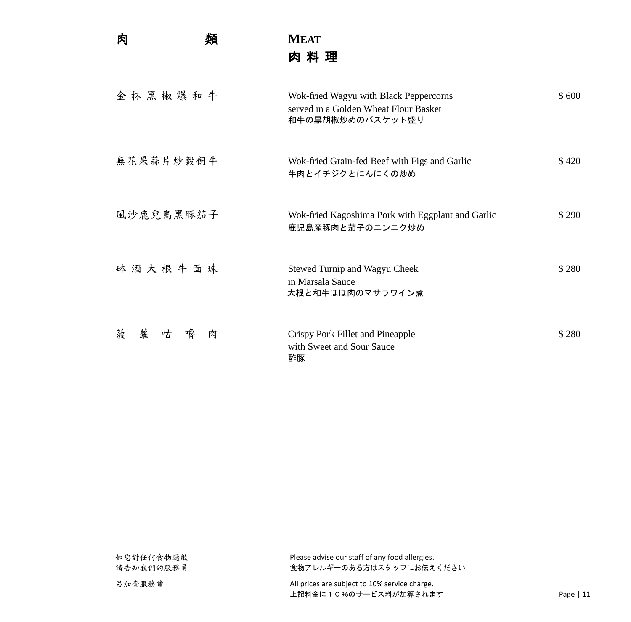肉 類 **MEAT** 肉 料 理

| 金杯黑椒爆和牛               | Wok-fried Wagyu with Black Peppercorns<br>served in a Golden Wheat Flour Basket<br>和牛の黒胡椒炒めのバスケット盛り | \$600 |
|-----------------------|-----------------------------------------------------------------------------------------------------|-------|
| 無花果蒜片炒穀飼牛             | Wok-fried Grain-fed Beef with Figs and Garlic<br>牛肉とイチジクとにんにくの炒め                                    | \$420 |
| 風沙鹿兒島黑豚茄子             | Wok-fried Kagoshima Pork with Eggplant and Garlic<br>鹿児島産豚肉と茄子のニンニク炒め                               | \$290 |
| 砵酒大根牛面珠               | <b>Stewed Turnip and Wagyu Cheek</b><br>in Marsala Sauce<br>大根と和牛ほほ肉のマサラワイン煮                        | \$280 |
| 菠<br>蘿<br>咕<br>嚕<br>肉 | Crispy Pork Fillet and Pineapple<br>with Sweet and Sour Sauce<br>酢豚                                 | \$280 |

| 如您對任何食物過敏<br>請告知我們的服務員 | Please advise our staff of any food allergies.<br>食物アレルギーのある方はスタッフにお伝えください |            |
|------------------------|----------------------------------------------------------------------------|------------|
| 另加壹服務費                 | All prices are subject to 10% service charge.                              |            |
|                        | 上記料金に10%のサービス料が加算されます                                                      | Page $ 11$ |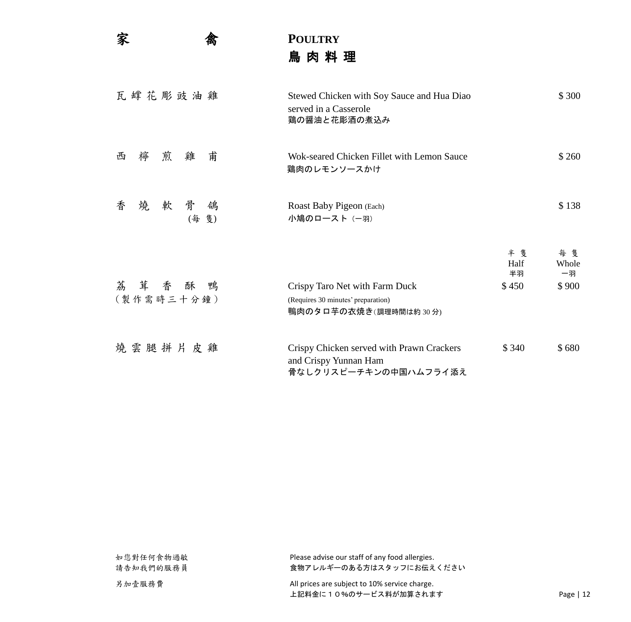家 禽 **POULTRY** 鳥 肉 料 理

| 瓦罉花彫豉油雞                       | Stewed Chicken with Soy Sauce and Hua Diao<br>served in a Casserole<br>鶏の醤油と花彫酒の煮込み           |                           | \$300                      |
|-------------------------------|-----------------------------------------------------------------------------------------------|---------------------------|----------------------------|
| 雞<br>甫<br>煎<br>檸<br>西         | Wok-seared Chicken Fillet with Lemon Sauce<br>鶏肉のレモンソースかけ                                     |                           | \$260                      |
| 骨<br>香<br>燒<br>軟<br>鴿<br>(每隻) | Roast Baby Pigeon (Each)<br>小鳩のロースト (一羽)                                                      |                           | \$138                      |
| 荔茸香酥鴨<br>(製作需時三十分鐘)           | Crispy Taro Net with Farm Duck<br>(Requires 30 minutes' preparation)<br>鴨肉のタロ芋の衣焼き(調理時間は約30分) | 半隻<br>Half<br>半羽<br>\$450 | 每隻<br>Whole<br>一羽<br>\$900 |
| 燒雲腿拼片皮雞                       | Crispy Chicken served with Prawn Crackers<br>and Crispy Yunnan Ham<br>骨なしクリスピーチキンの中国ハムフライ添え   | \$340                     | \$680                      |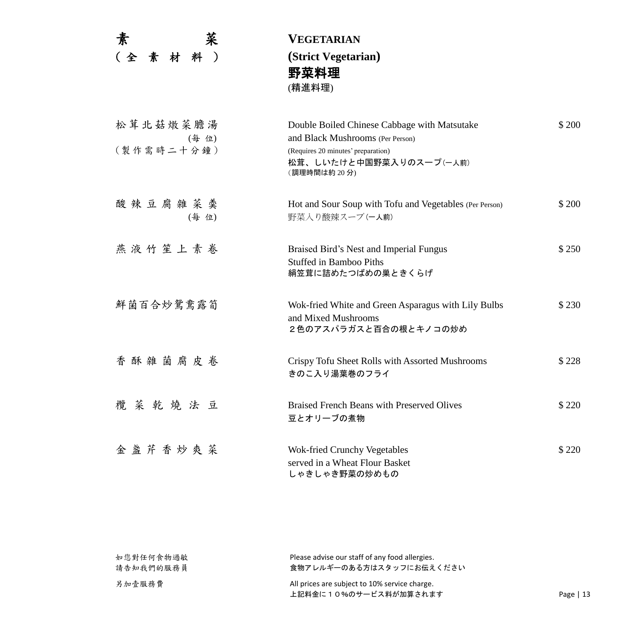| 素                      | 菜     | VEGETARIAN                                                                                                                                                       |        |
|------------------------|-------|------------------------------------------------------------------------------------------------------------------------------------------------------------------|--------|
| (全素材料)                 |       | (Strict Vegetarian)<br>野菜料理<br>(精進料理)                                                                                                                            |        |
| 松茸北菇燉菜膽湯<br>(製作需時二十分鐘) | (每 位) | Double Boiled Chinese Cabbage with Matsutake<br>and Black Mushrooms (Per Person)<br>(Requires 20 minutes' preparation)<br>松茸、しいたけと中国野菜入りのスープ(ー人前)<br>(調理時間は約20分) | \$200  |
| 酸辣豆腐雜菜羹                | (每 位) | Hot and Sour Soup with Tofu and Vegetables (Per Person)<br>野菜入り酸辣スープ(ー人前)                                                                                        | \$ 200 |
| 燕液竹笙上素卷                |       | Braised Bird's Nest and Imperial Fungus<br><b>Stuffed in Bamboo Piths</b><br>絹笠茸に詰めたつばめの巣ときくらげ                                                                   | \$250  |
| 鮮菌百合炒鴛鴦露筍              |       | Wok-fried White and Green Asparagus with Lily Bulbs<br>and Mixed Mushrooms<br>2色のアスパラガスと百合の根とキノコの炒め                                                              | \$230  |
| 香酥雜菌腐皮卷                |       | Crispy Tofu Sheet Rolls with Assorted Mushrooms<br>きのこ入り湯葉巻のフライ                                                                                                  | \$228  |
| 欖菜乾燒法豆                 |       | <b>Braised French Beans with Preserved Olives</b><br>豆とオリーブの煮物                                                                                                   | \$220  |
| 金盞芹香炒爽菜                |       | <b>Wok-fried Crunchy Vegetables</b><br>served in a Wheat Flour Basket<br>しゃきしゃき野菜の炒めもの                                                                           | \$220  |

| 如您對任何食物過敏 | Please advise our staff of any food allergies. |            |
|-----------|------------------------------------------------|------------|
| 請告知我們的服務員 | 食物アレルギーのある方はスタッフにお伝えください                       |            |
| 另加壹服務費    | All prices are subject to 10% service charge.  |            |
|           | 上記料金に10%のサービス料が加算されます                          | Page $ 13$ |